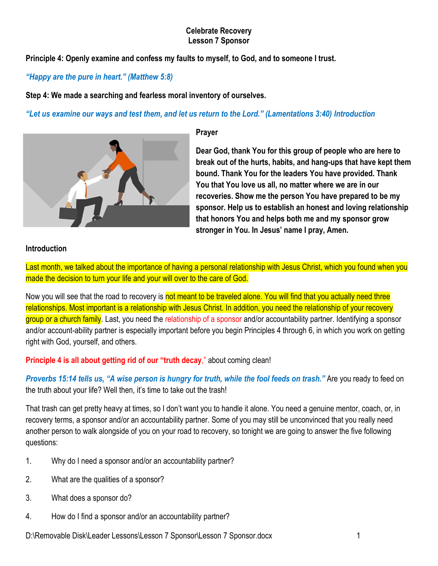**Principle 4: Openly examine and confess my faults to myself, to God, and to someone I trust.** 

### *"Happy are the pure in heart." (Matthew 5:8)*

**Step 4: We made a searching and fearless moral inventory of ourselves.** 

### "Let us examine our ways and test them, and let us return to the Lord." (Lamentations 3:40) Introduction



#### **Prayer**

**Dear God, thank You for this group of people who are here to break out of the hurts, habits, and hang-ups that have kept them bound. Thank You for the leaders You have provided. Thank You that You love us all, no matter where we are in our recoveries. Show me the person You have prepared to be my sponsor. Help us to establish an honest and loving relationship that honors You and helps both me and my sponsor grow stronger in You. In Jesus' name I pray, Amen.**

#### **Introduction**

Last month, we talked about the importance of having a personal relationship with Jesus Christ, which you found when you made the decision to turn your life and your will over to the care of God.

Now you will see that the road to recovery is not meant to be traveled alone. You will find that you actually need three relationships. Most important is a relationship with Jesus Christ. In addition, you need the relationship of your recovery group or a church family. Last, you need the relationship of a sponsor and/or accountability partner. Identifying a sponsor and/or account-ability partner is especially important before you begin Principles 4 through 6, in which you work on getting right with God, yourself, and others.

**Principle 4 is all about getting rid of our "truth decay,"** about coming clean!

**Proverbs 15:14 tells us, "A wise person is hungry for truth, while the fool feeds on trash." Are you ready to feed on** the truth about your life? Well then, it's time to take out the trash!

That trash can get pretty heavy at times, so I don't want you to handle it alone. You need a genuine mentor, coach, or, in recovery terms, a sponsor and/or an accountability partner. Some of you may still be unconvinced that you really need another person to walk alongside of you on your road to recovery, so tonight we are going to answer the five following questions:

- 1. Why do I need a sponsor and/or an accountability partner?
- 2. What are the qualities of a sponsor?
- 3. What does a sponsor do?
- 4. How do I find a sponsor and/or an accountability partner?

D:\Removable Disk\Leader Lessons\Lesson 7 Sponsor\Lesson 7 Sponsor.docx 1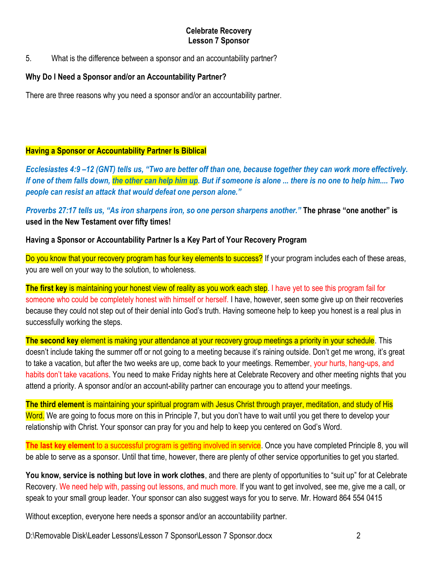5. What is the difference between a sponsor and an accountability partner?

#### **Why Do I Need a Sponsor and/or an Accountability Partner?**

There are three reasons why you need a sponsor and/or an accountability partner.

### **Having a Sponsor or Accountability Partner Is Biblical**

*Ecclesiastes 4:9 –12 (GNT) tells us, "Two are better off than one, because together they can work more effectively. If one of them falls down, the other can help him up. But if someone is alone ... there is no one to help him.... Two people can resist an attack that would defeat one person alone."* 

*Proverbs 27:17 tells us, "As iron sharpens iron, so one person sharpens another."* **The phrase "one another" is used in the New Testament over fifty times!** 

#### **Having a Sponsor or Accountability Partner Is a Key Part of Your Recovery Program**

Do you know that your recovery program has four key elements to success? If your program includes each of these areas, you are well on your way to the solution, to wholeness.

**The first key** is maintaining your honest view of reality as you work each step. I have yet to see this program fail for someone who could be completely honest with himself or herself. I have, however, seen some give up on their recoveries because they could not step out of their denial into God's truth. Having someone help to keep you honest is a real plus in successfully working the steps.

**The second key** element is making your attendance at your recovery group meetings a priority in your schedule. This doesn't include taking the summer off or not going to a meeting because it's raining outside. Don't get me wrong, it's great to take a vacation, but after the two weeks are up, come back to your meetings. Remember, your hurts, hang-ups, and habits don't take vacations. You need to make Friday nights here at Celebrate Recovery and other meeting nights that you attend a priority. A sponsor and/or an account-ability partner can encourage you to attend your meetings.

**The third element** is maintaining your spiritual program with Jesus Christ through prayer, meditation, and study of His Word. We are going to focus more on this in Principle 7, but you don't have to wait until you get there to develop your relationship with Christ. Your sponsor can pray for you and help to keep you centered on God's Word.

**The last key element** to a successful program is getting involved in service. Once you have completed Principle 8, you will be able to serve as a sponsor. Until that time, however, there are plenty of other service opportunities to get you started.

**You know, service is nothing but love in work clothes**, and there are plenty of opportunities to "suit up" for at Celebrate Recovery. We need help with, passing out lessons, and much more. If you want to get involved, see me, give me a call, or speak to your small group leader. Your sponsor can also suggest ways for you to serve. Mr. Howard 864 554 0415

Without exception, everyone here needs a sponsor and/or an accountability partner.

D:\Removable Disk\Leader Lessons\Lesson 7 Sponsor\Lesson 7 Sponsor.docx 2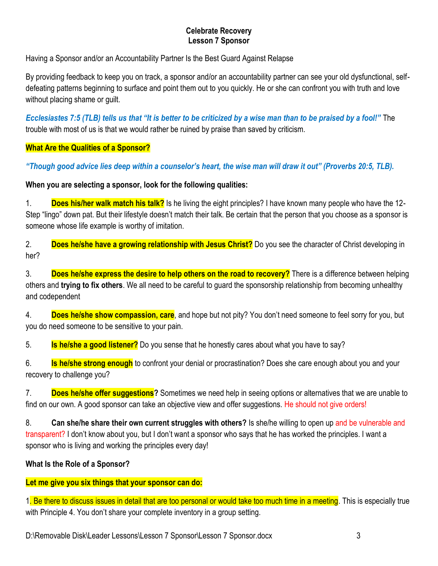Having a Sponsor and/or an Accountability Partner Is the Best Guard Against Relapse

By providing feedback to keep you on track, a sponsor and/or an accountability partner can see your old dysfunctional, selfdefeating patterns beginning to surface and point them out to you quickly. He or she can confront you with truth and love without placing shame or guilt.

*Ecclesiastes 7:5 (TLB) tells us that "It is better to be criticized by a wise man than to be praised by a fool!"* The trouble with most of us is that we would rather be ruined by praise than saved by criticism.

# **What Are the Qualities of a Sponsor?**

*"Though good advice lies deep within a counselor's heart, the wise man will draw it out" (Proverbs 20:5, TLB).* 

# **When you are selecting a sponsor, look for the following qualities:**

1. **Does his/her walk match his talk?** Is he living the eight principles? I have known many people who have the 12- Step "lingo" down pat. But their lifestyle doesn't match their talk. Be certain that the person that you choose as a sponsor is someone whose life example is worthy of imitation.

2. **Does he/she have a growing relationship with Jesus Christ?** Do you see the character of Christ developing in her?

3. **Does he/she express the desire to help others on the road to recovery?** There is a difference between helping others and **trying to fix others**. We all need to be careful to guard the sponsorship relationship from becoming unhealthy and codependent

4. **Does he/she show compassion, care**, and hope but not pity? You don't need someone to feel sorry for you, but you do need someone to be sensitive to your pain.

5. **Is he/she a good listener?** Do you sense that he honestly cares about what you have to say?

6. **Is he/she strong enough** to confront your denial or procrastination? Does she care enough about you and your recovery to challenge you?

7. **Does he/she offer suggestions?** Sometimes we need help in seeing options or alternatives that we are unable to find on our own. A good sponsor can take an objective view and offer suggestions. He should not give orders!

8. **Can she/he share their own current struggles with others?** Is she/he willing to open up and be vulnerable and transparent? I don't know about you, but I don't want a sponsor who says that he has worked the principles. I want a sponsor who is living and working the principles every day!

### **What Is the Role of a Sponsor?**

# **Let me give you six things that your sponsor can do:**

1. Be there to discuss issues in detail that are too personal or would take too much time in a meeting. This is especially true with Principle 4. You don't share your complete inventory in a group setting.

D:\Removable Disk\Leader Lessons\Lesson 7 Sponsor\Lesson 7 Sponsor.docx 3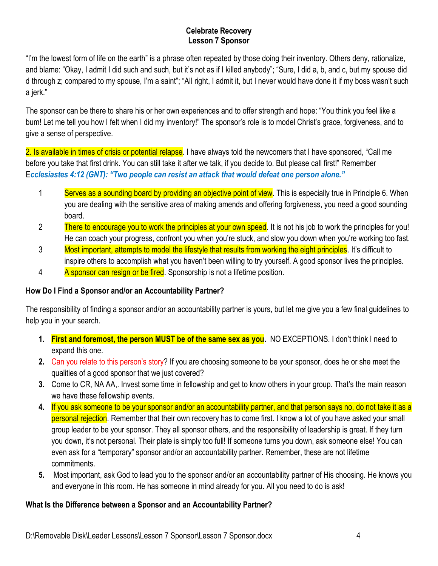"I'm the lowest form of life on the earth" is a phrase often repeated by those doing their inventory. Others deny, rationalize, and blame: "Okay, I admit I did such and such, but it's not as if I killed anybody"; "Sure, I did a, b, and c, but my spouse did d through z; compared to my spouse, I'm a saint"; "All right, I admit it, but I never would have done it if my boss wasn't such a jerk."

The sponsor can be there to share his or her own experiences and to offer strength and hope: "You think you feel like a bum! Let me tell you how I felt when I did my inventory!" The sponsor's role is to model Christ's grace, forgiveness, and to give a sense of perspective.

2. Is available in times of crisis or potential relapse. I have always told the newcomers that I have sponsored, "Call me before you take that first drink. You can still take it after we talk, if you decide to. But please call first!" Remember E*cclesiastes 4:12 (GNT): "Two people can resist an attack that would defeat one person alone."*

- 1 Serves as a sounding board by providing an objective point of view. This is especially true in Principle 6. When you are dealing with the sensitive area of making amends and offering forgiveness, you need a good sounding board.
- 2 There to encourage you to work the principles at your own speed. It is not his job to work the principles for you! He can coach your progress, confront you when you're stuck, and slow you down when you're working too fast.
- 3 Most important, attempts to model the lifestyle that results from working the eight principles. It's difficult to inspire others to accomplish what you haven't been willing to try yourself. A good sponsor lives the principles.
- 4 A sponsor can resign or be fired. Sponsorship is not a lifetime position.

# **How Do I Find a Sponsor and/or an Accountability Partner?**

The responsibility of finding a sponsor and/or an accountability partner is yours, but let me give you a few final guidelines to help you in your search.

- **1. First and foremost, the person MUST be of the same sex as you.** NO EXCEPTIONS. I don't think I need to expand this one.
- **2.** Can you relate to this person's story? If you are choosing someone to be your sponsor, does he or she meet the qualities of a good sponsor that we just covered?
- **3.** Come to CR, NA AA,. Invest some time in fellowship and get to know others in your group. That's the main reason we have these fellowship events.
- **4.** If you ask someone to be your sponsor and/or an accountability partner, and that person says no, do not take it as a personal rejection. Remember that their own recovery has to come first. I know a lot of you have asked your small group leader to be your sponsor. They all sponsor others, and the responsibility of leadership is great. If they turn you down, it's not personal. Their plate is simply too full! If someone turns you down, ask someone else! You can even ask for a "temporary" sponsor and/or an accountability partner. Remember, these are not lifetime commitments.
- **5.** Most important, ask God to lead you to the sponsor and/or an accountability partner of His choosing. He knows you and everyone in this room. He has someone in mind already for you. All you need to do is ask!

# **What Is the Difference between a Sponsor and an Accountability Partner?**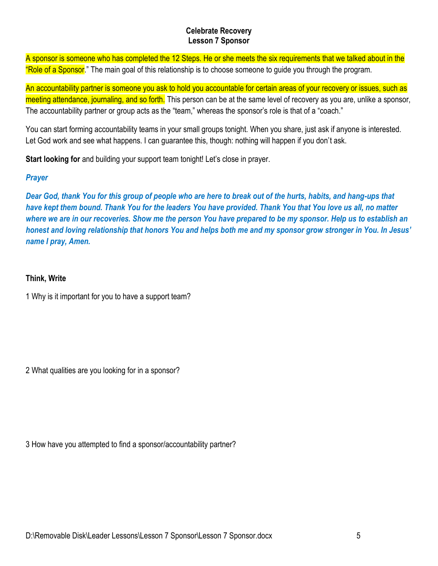A sponsor is someone who has completed the 12 Steps. He or she meets the six requirements that we talked about in the "Role of a Sponsor." The main goal of this relationship is to choose someone to guide you through the program.

An accountability partner is someone you ask to hold you accountable for certain areas of your recovery or issues, such as meeting attendance, journaling, and so forth. This person can be at the same level of recovery as you are, unlike a sponsor, The accountability partner or group acts as the "team," whereas the sponsor's role is that of a "coach."

You can start forming accountability teams in your small groups tonight. When you share, just ask if anyone is interested. Let God work and see what happens. I can guarantee this, though: nothing will happen if you don't ask.

**Start looking for** and building your support team tonight! Let's close in prayer.

# *Prayer*

*Dear God, thank You for this group of people who are here to break out of the hurts, habits, and hang-ups that have kept them bound. Thank You for the leaders You have provided. Thank You that You love us all, no matter where we are in our recoveries. Show me the person You have prepared to be my sponsor. Help us to establish an honest and loving relationship that honors You and helps both me and my sponsor grow stronger in You. In Jesus' name I pray, Amen.*

# **Think, Write**

1 Why is it important for you to have a support team?

2 What qualities are you looking for in a sponsor?

3 How have you attempted to find a sponsor/accountability partner?